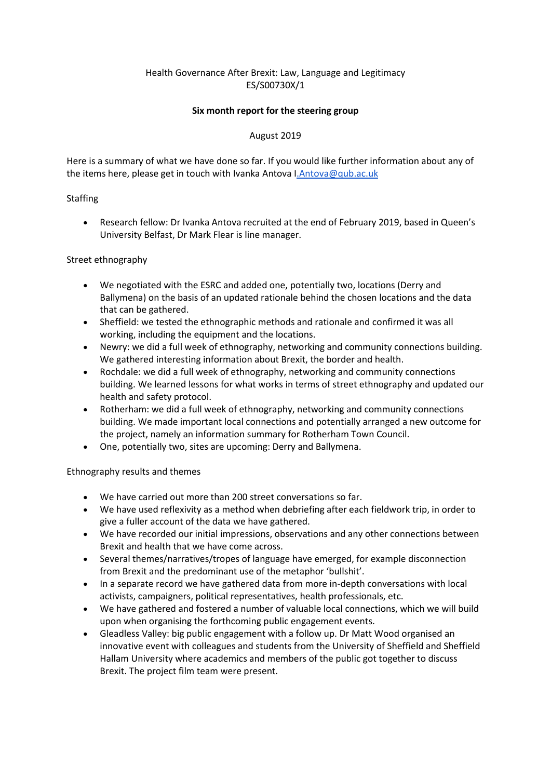# Health Governance After Brexit: Law, Language and Legitimacy ES/S00730X/1

### **Six month report for the steering group**

## August 2019

Here is a summary of what we have done so far. If you would like further information about any of the items here, please get in touch with Ivanka Antova [I.Antova@qub.ac.uk](mailto:i.antova@qub.ac.uk)

## **Staffing**

 Research fellow: Dr Ivanka Antova recruited at the end of February 2019, based in Queen's University Belfast, Dr Mark Flear is line manager.

## Street ethnography

- We negotiated with the ESRC and added one, potentially two, locations (Derry and Ballymena) on the basis of an updated rationale behind the chosen locations and the data that can be gathered.
- Sheffield: we tested the ethnographic methods and rationale and confirmed it was all working, including the equipment and the locations.
- Newry: we did a full week of ethnography, networking and community connections building. We gathered interesting information about Brexit, the border and health.
- Rochdale: we did a full week of ethnography, networking and community connections building. We learned lessons for what works in terms of street ethnography and updated our health and safety protocol.
- Rotherham: we did a full week of ethnography, networking and community connections building. We made important local connections and potentially arranged a new outcome for the project, namely an information summary for Rotherham Town Council.
- One, potentially two, sites are upcoming: Derry and Ballymena.

Ethnography results and themes

- We have carried out more than 200 street conversations so far.
- We have used reflexivity as a method when debriefing after each fieldwork trip, in order to give a fuller account of the data we have gathered.
- We have recorded our initial impressions, observations and any other connections between Brexit and health that we have come across.
- Several themes/narratives/tropes of language have emerged, for example disconnection from Brexit and the predominant use of the metaphor 'bullshit'.
- In a separate record we have gathered data from more in-depth conversations with local activists, campaigners, political representatives, health professionals, etc.
- We have gathered and fostered a number of valuable local connections, which we will build upon when organising the forthcoming public engagement events.
- Gleadless Valley: big public engagement with a follow up. Dr Matt Wood organised an innovative event with colleagues and students from the University of Sheffield and Sheffield Hallam University where academics and members of the public got together to discuss Brexit. The project film team were present.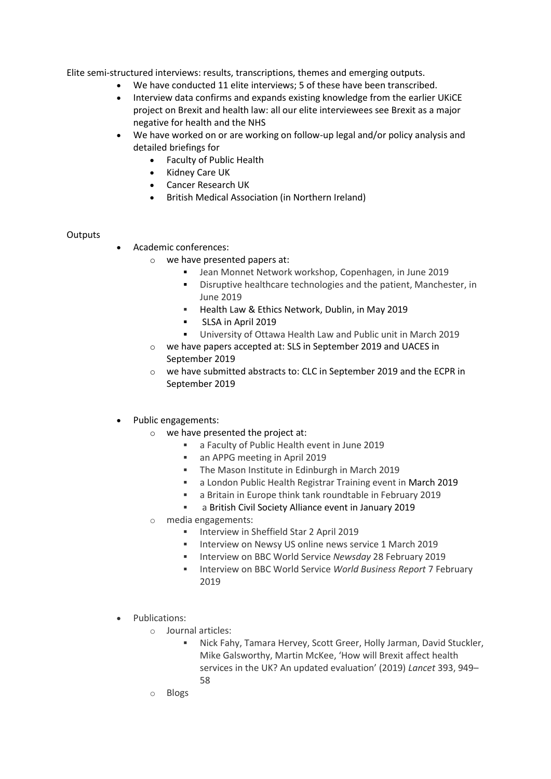Elite semi-structured interviews: results, transcriptions, themes and emerging outputs.

- We have conducted 11 elite interviews; 5 of these have been transcribed.
- Interview data confirms and expands existing knowledge from the earlier UKiCE project on Brexit and health law: all our elite interviewees see Brexit as a major negative for health and the NHS
- We have worked on or are working on follow-up legal and/or policy analysis and detailed briefings for
	- Faculty of Public Health
		- Kidney Care UK
		- Cancer Research UK
		- British Medical Association (in Northern Ireland)

#### **Outputs**

- Academic conferences:
	- o we have presented papers at:
		- Jean Monnet Network workshop, Copenhagen, in June 2019
		- **Distuptive healthcare technologies and the patient, Manchester, in** June 2019
		- **Health Law & Ethics Network, Dublin, in May 2019**
		- SLSA in April 2019
		- University of Ottawa Health Law and Public unit in March 2019
	- o we have papers accepted at: SLS in September 2019 and UACES in September 2019
	- $\circ$  we have submitted abstracts to: CLC in September 2019 and the ECPR in September 2019

#### Public engagements:

- o we have presented the project at:
	- a Faculty of Public Health event in June 2019
	- an APPG meeting in April 2019
	- **The Mason Institute in Edinburgh in March 2019**
	- a London Public Health Registrar Training event in March 2019
	- a Britain in Europe think tank roundtable in February 2019
	- a British Civil Society Alliance event in January 2019
- o media engagements:
	- **Interview in Sheffield Star 2 April 2019**
	- **Interview on Newsy US online news service 1 March 2019**
	- Interview on BBC World Service *Newsday* 28 February 2019
	- **Interview on BBC World Service World Business Report 7 February** 2019
- Publications:
	- o Journal articles:
		- Nick Fahy, Tamara Hervey, Scott Greer, Holly Jarman, David Stuckler, Mike Galsworthy, Martin McKee, 'How will Brexit affect health services in the UK? An updated evaluation' (2019) *Lancet* 393, 949– 58
	- o Blogs